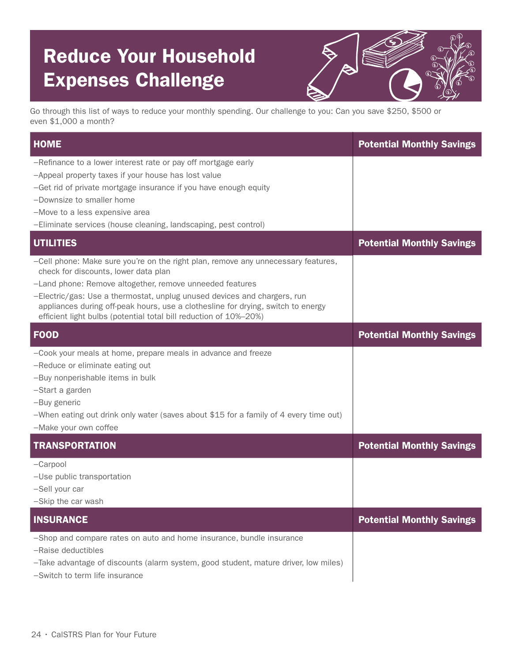## Reduce Your Household Expenses Challenge



Go through this list of ways to reduce your monthly spending. Our challenge to you: Can you save \$250, \$500 or even \$1,000 a month?

| <b>HOME</b>                                                                                                                                                                                                                                                                                                                                                                                                                | <b>Potential Monthly Savings</b> |
|----------------------------------------------------------------------------------------------------------------------------------------------------------------------------------------------------------------------------------------------------------------------------------------------------------------------------------------------------------------------------------------------------------------------------|----------------------------------|
| -Refinance to a lower interest rate or pay off mortgage early<br>-Appeal property taxes if your house has lost value<br>-Get rid of private mortgage insurance if you have enough equity<br>-Downsize to smaller home<br>-Move to a less expensive area<br>-Eliminate services (house cleaning, landscaping, pest control)                                                                                                 |                                  |
| <b>UTILITIES</b>                                                                                                                                                                                                                                                                                                                                                                                                           | <b>Potential Monthly Savings</b> |
| -Cell phone: Make sure you're on the right plan, remove any unnecessary features,<br>check for discounts, lower data plan<br>-Land phone: Remove altogether, remove unneeded features<br>-Electric/gas: Use a thermostat, unplug unused devices and chargers, run<br>appliances during off-peak hours, use a clothesline for drying, switch to energy<br>efficient light bulbs (potential total bill reduction of 10%-20%) |                                  |
| <b>FOOD</b>                                                                                                                                                                                                                                                                                                                                                                                                                | <b>Potential Monthly Savings</b> |
| -Cook your meals at home, prepare meals in advance and freeze<br>-Reduce or eliminate eating out<br>-Buy nonperishable items in bulk<br>-Start a garden<br>-Buy generic<br>-When eating out drink only water (saves about $$15$ for a family of 4 every time out)<br>-Make your own coffee                                                                                                                                 |                                  |
| <b>TRANSPORTATION</b>                                                                                                                                                                                                                                                                                                                                                                                                      | <b>Potential Monthly Savings</b> |
| $-Carpool$<br>-Use public transportation<br>-Sell your car<br>-Skip the car wash                                                                                                                                                                                                                                                                                                                                           |                                  |
| <b>INSURANCE</b>                                                                                                                                                                                                                                                                                                                                                                                                           | <b>Potential Monthly Savings</b> |
| -Shop and compare rates on auto and home insurance, bundle insurance<br>-Raise deductibles<br>-Take advantage of discounts (alarm system, good student, mature driver, low miles)<br>-Switch to term life insurance                                                                                                                                                                                                        |                                  |